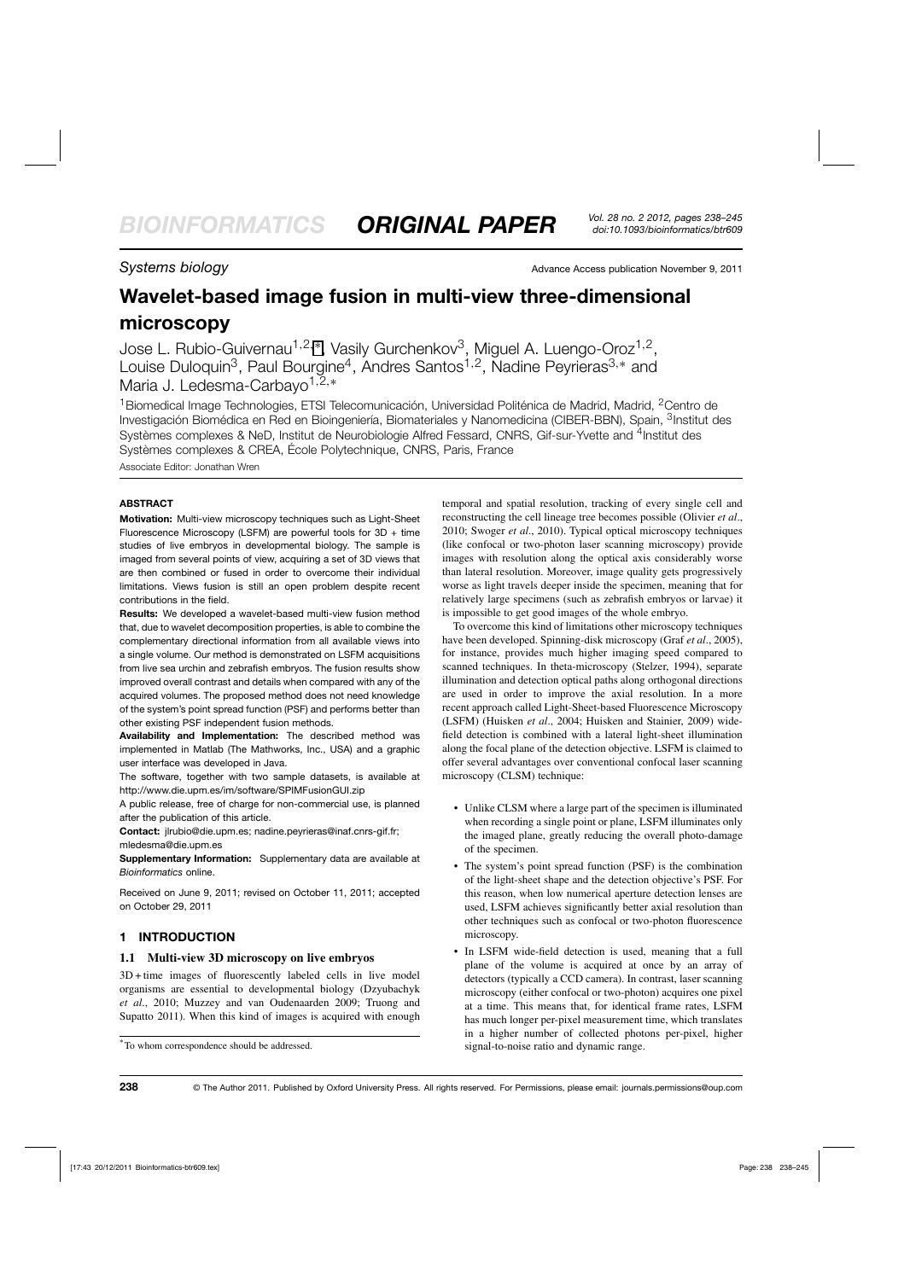**Systems biology Advance Access publication November 9, 2011** 

# **Wavelet-based image fusion in multi-view three-dimensional microscopy**

Jose L. Rubio-Guivernau<sup>1,2,\*</sup>, Vasily Gurchenkov<sup>3</sup>, Miguel A. Luengo-Oroz<sup>1,2</sup>, Louise Duloquin<sup>3</sup>, Paul Bourgine<sup>4</sup>, Andres Santos<sup>1,2</sup>, Nadine Peyrieras<sup>3,∗</sup> and Maria J. Ledesma-Carbayo1,2,<sup>∗</sup>

<sup>1</sup> Biomedical Image Technologies, ETSI Telecomunicación, Universidad Politénica de Madrid, Madrid, <sup>2</sup>Centro de Investigación Biomédica en Red en Bioingeniería, Biomateriales y Nanomedicina (CIBER-BBN), Spain, <sup>3</sup>Institut des Systèmes complexes & NeD, Institut de Neurobiologie Alfred Fessard, CNRS, Gif-sur-Yvette and <sup>4</sup>Institut des Systèmes complexes & CREA, École Polytechnique, CNRS, Paris, France

Associate Editor: Jonathan Wren

# **ABSTRACT**

**Motivation:** Multi-view microscopy techniques such as Light-Sheet Fluorescence Microscopy (LSFM) are powerful tools for 3D + time studies of live embryos in developmental biology. The sample is imaged from several points of view, acquiring a set of 3D views that are then combined or fused in order to overcome their individual limitations. Views fusion is still an open problem despite recent contributions in the field.

**Results:** We developed a wavelet-based multi-view fusion method that, due to wavelet decomposition properties, is able to combine the complementary directional information from all available views into a single volume. Our method is demonstrated on LSFM acquisitions from live sea urchin and zebrafish embryos. The fusion results show improved overall contrast and details when compared with any of the acquired volumes. The proposed method does not need knowledge of the system's point spread function (PSF) and performs better than other existing PSF independent fusion methods.

**Availability and Implementation:** The described method was implemented in Matlab (The Mathworks, Inc., USA) and a graphic user interface was developed in Java.

The software, together with two sample datasets, is available at http://www.die.upm.es/im/software/SPIMFusionGUI.zip

A public release, free of charge for non-commercial use, is planned after the publication of this article.

**Contact:** jlrubio@die.upm.es; nadine.peyrieras@inaf.cnrs-gif.fr; mledesma@die.upm.es

**Supplementary Information:** Supplementary data are available at *Bioinformatics* online.

Received on June 9, 2011; revised on October 11, 2011; accepted on October 29, 2011

# **1 INTRODUCTION**

# **1.1 Multi-view 3D microscopy on live embryos**

3D + time images of fluorescently labeled cells in live model organisms are essential to developmental biology (Dzyubachyk *et al*., 2010; Muzzey and van Oudenaarden 2009; Truong and Supatto 2011). When this kind of images is acquired with enough temporal and spatial resolution, tracking of every single cell and reconstructing the cell lineage tree becomes possible (Olivier *et al*., 2010; Swoger *et al*., 2010). Typical optical microscopy techniques (like confocal or two-photon laser scanning microscopy) provide images with resolution along the optical axis considerably worse than lateral resolution. Moreover, image quality gets progressively worse as light travels deeper inside the specimen, meaning that for relatively large specimens (such as zebrafish embryos or larvae) it is impossible to get good images of the whole embryo.

To overcome this kind of limitations other microscopy techniques have been developed. Spinning-disk microscopy (Graf *et al*., 2005), for instance, provides much higher imaging speed compared to scanned techniques. In theta-microscopy (Stelzer, 1994), separate illumination and detection optical paths along orthogonal directions are used in order to improve the axial resolution. In a more recent approach called Light-Sheet-based Fluorescence Microscopy (LSFM) (Huisken *et al*., 2004; Huisken and Stainier, 2009) widefield detection is combined with a lateral light-sheet illumination along the focal plane of the detection objective. LSFM is claimed to offer several advantages over conventional confocal laser scanning microscopy (CLSM) technique:

- Unlike CLSM where a large part of the specimen is illuminated when recording a single point or plane, LSFM illuminates only the imaged plane, greatly reducing the overall photo-damage of the specimen.
- The system's point spread function (PSF) is the combination of the light-sheet shape and the detection objective's PSF. For this reason, when low numerical aperture detection lenses are used, LSFM achieves significantly better axial resolution than other techniques such as confocal or two-photon fluorescence microscopy.
- In LSFM wide-field detection is used, meaning that a full plane of the volume is acquired at once by an array of detectors (typically a CCD camera). In contrast, laser scanning microscopy (either confocal or two-photon) acquires one pixel at a time. This means that, for identical frame rates, LSFM has much longer per-pixel measurement time, which translates in a higher number of collected photons per-pixel, higher signal-to-noise ratio and dynamic range.

<sup>∗</sup> To whom correspondence should be addressed.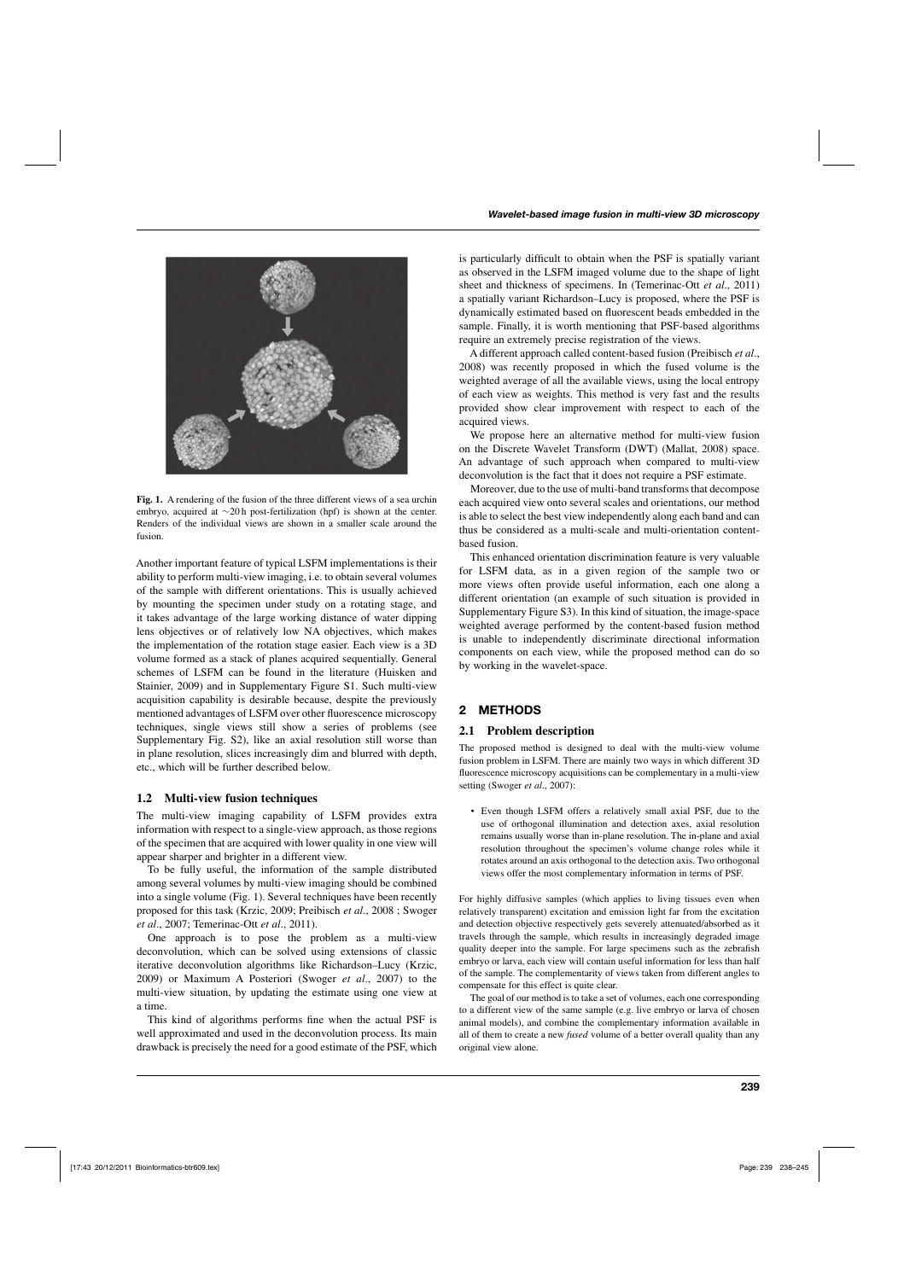

**Fig. 1.** A rendering of the fusion of the three different views of a sea urchin embryo, acquired at ∼20 h post-fertilization (hpf) is shown at the center. Renders of the individual views are shown in a smaller scale around the fusion.

Another important feature of typical LSFM implementations is their ability to perform multi-view imaging, i.e. to obtain several volumes of the sample with different orientations. This is usually achieved by mounting the specimen under study on a rotating stage, and it takes advantage of the large working distance of water dipping lens objectives or of relatively low NA objectives, which makes the implementation of the rotation stage easier. Each view is a 3D volume formed as a stack of planes acquired sequentially. General schemes of LSFM can be found in the literature (Huisken and Stainier, 2009) and in Supplementary Figure S1. Such multi-view acquisition capability is desirable because, despite the previously mentioned advantages of LSFM over other fluorescence microscopy techniques, single views still show a series of problems (see Supplementary Fig. S2), like an axial resolution still worse than in plane resolution, slices increasingly dim and blurred with depth, etc., which will be further described below.

# **1.2 Multi-view fusion techniques**

The multi-view imaging capability of LSFM provides extra information with respect to a single-view approach, as those regions of the specimen that are acquired with lower quality in one view will appear sharper and brighter in a different view.

To be fully useful, the information of the sample distributed among several volumes by multi-view imaging should be combined into a single volume (Fig. 1). Several techniques have been recently proposed for this task (Krzic, 2009; Preibisch *et al*., 2008 ; Swoger *et al*., 2007; Temerinac-Ott *et al*., 2011).

One approach is to pose the problem as a multi-view deconvolution, which can be solved using extensions of classic iterative deconvolution algorithms like Richardson–Lucy (Krzic, 2009) or Maximum A Posteriori (Swoger *et al*., 2007) to the multi-view situation, by updating the estimate using one view at a time.

This kind of algorithms performs fine when the actual PSF is well approximated and used in the deconvolution process. Its main drawback is precisely the need for a good estimate of the PSF, which is particularly difficult to obtain when the PSF is spatially variant as observed in the LSFM imaged volume due to the shape of light sheet and thickness of specimens. In (Temerinac-Ott *et al*., 2011) a spatially variant Richardson–Lucy is proposed, where the PSF is dynamically estimated based on fluorescent beads embedded in the sample. Finally, it is worth mentioning that PSF-based algorithms require an extremely precise registration of the views.

A different approach called content-based fusion (Preibisch *et al*., 2008) was recently proposed in which the fused volume is the weighted average of all the available views, using the local entropy of each view as weights. This method is very fast and the results provided show clear improvement with respect to each of the acquired views.

We propose here an alternative method for multi-view fusion on the Discrete Wavelet Transform (DWT) (Mallat, 2008) space. An advantage of such approach when compared to multi-view deconvolution is the fact that it does not require a PSF estimate.

Moreover, due to the use of multi-band transforms that decompose each acquired view onto several scales and orientations, our method is able to select the best view independently along each band and can thus be considered as a multi-scale and multi-orientation contentbased fusion.

This enhanced orientation discrimination feature is very valuable for LSFM data, as in a given region of the sample two or more views often provide useful information, each one along a different orientation (an example of such situation is provided in Supplementary Figure S3). In this kind of situation, the image-space weighted average performed by the content-based fusion method is unable to independently discriminate directional information components on each view, while the proposed method can do so by working in the wavelet-space.

# **2 METHODS**

# **2.1 Problem description**

The proposed method is designed to deal with the multi-view volume fusion problem in LSFM. There are mainly two ways in which different 3D fluorescence microscopy acquisitions can be complementary in a multi-view setting (Swoger *et al*., 2007):

• Even though LSFM offers a relatively small axial PSF, due to the use of orthogonal illumination and detection axes, axial resolution remains usually worse than in-plane resolution. The in-plane and axial resolution throughout the specimen's volume change roles while it rotates around an axis orthogonal to the detection axis. Two orthogonal views offer the most complementary information in terms of PSF.

For highly diffusive samples (which applies to living tissues even when relatively transparent) excitation and emission light far from the excitation and detection objective respectively gets severely attenuated/absorbed as it travels through the sample, which results in increasingly degraded image quality deeper into the sample. For large specimens such as the zebrafish embryo or larva, each view will contain useful information for less than half of the sample. The complementarity of views taken from different angles to compensate for this effect is quite clear.

The goal of our method is to take a set of volumes, each one corresponding to a different view of the same sample (e.g. live embryo or larva of chosen animal models), and combine the complementary information available in all of them to create a new *fused* volume of a better overall quality than any original view alone.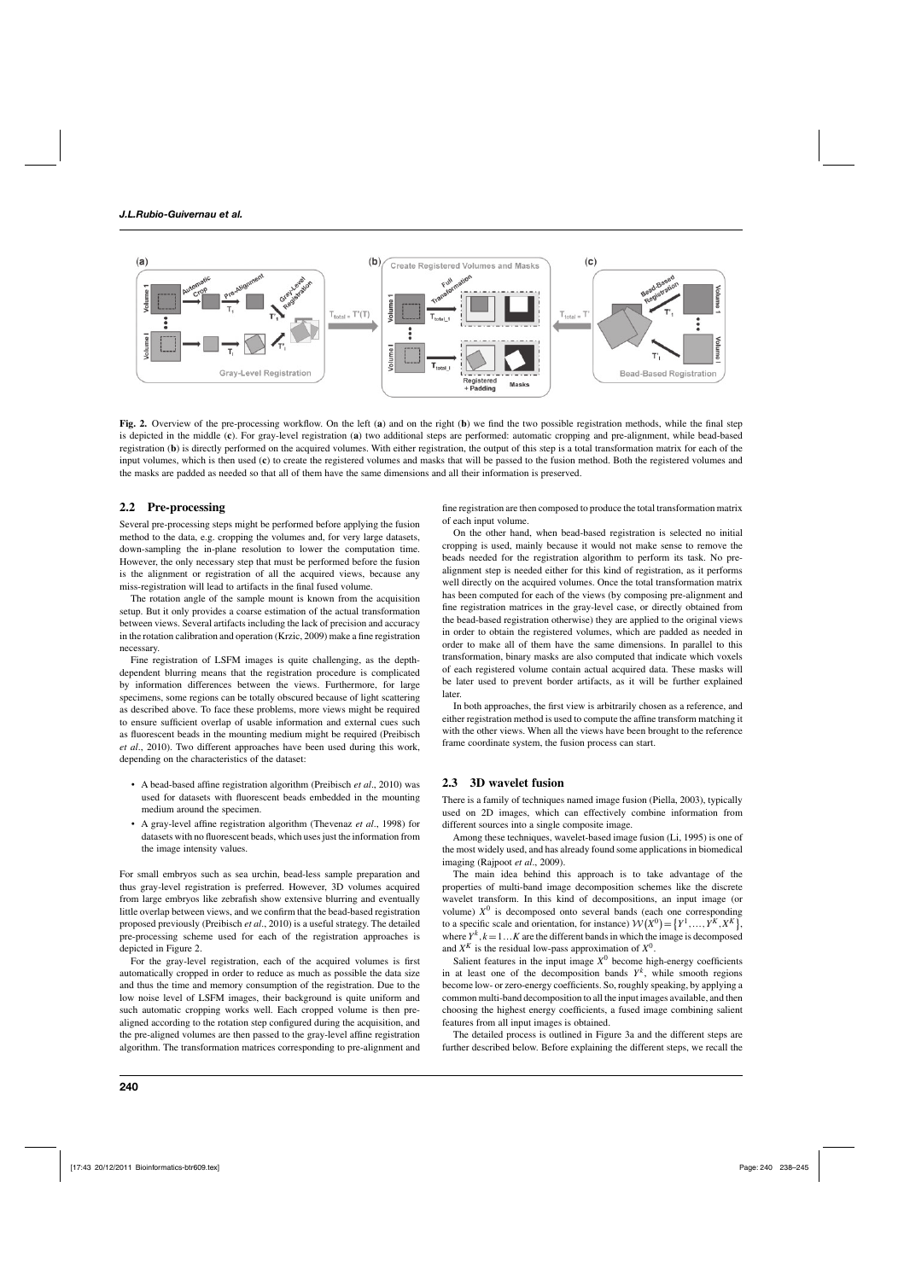

**Fig. 2.** Overview of the pre-processing workflow. On the left (**a**) and on the right (**b**) we find the two possible registration methods, while the final step is depicted in the middle (**c**). For gray-level registration (**a**) two additional steps are performed: automatic cropping and pre-alignment, while bead-based registration (**b**) is directly performed on the acquired volumes. With either registration, the output of this step is a total transformation matrix for each of the input volumes, which is then used (**c**) to create the registered volumes and masks that will be passed to the fusion method. Both the registered volumes and the masks are padded as needed so that all of them have the same dimensions and all their information is preserved.

#### **2.2 Pre-processing**

Several pre-processing steps might be performed before applying the fusion method to the data, e.g. cropping the volumes and, for very large datasets, down-sampling the in-plane resolution to lower the computation time. However, the only necessary step that must be performed before the fusion is the alignment or registration of all the acquired views, because any miss-registration will lead to artifacts in the final fused volume.

The rotation angle of the sample mount is known from the acquisition setup. But it only provides a coarse estimation of the actual transformation between views. Several artifacts including the lack of precision and accuracy in the rotation calibration and operation (Krzic, 2009) make a fine registration necessary.

Fine registration of LSFM images is quite challenging, as the depthdependent blurring means that the registration procedure is complicated by information differences between the views. Furthermore, for large specimens, some regions can be totally obscured because of light scattering as described above. To face these problems, more views might be required to ensure sufficient overlap of usable information and external cues such as fluorescent beads in the mounting medium might be required (Preibisch *et al*., 2010). Two different approaches have been used during this work, depending on the characteristics of the dataset:

- A bead-based affine registration algorithm (Preibisch *et al*., 2010) was used for datasets with fluorescent beads embedded in the mounting medium around the specimen.
- A gray-level affine registration algorithm (Thevenaz *et al*., 1998) for datasets with no fluorescent beads, which uses just the information from the image intensity values.

For small embryos such as sea urchin, bead-less sample preparation and thus gray-level registration is preferred. However, 3D volumes acquired from large embryos like zebrafish show extensive blurring and eventually little overlap between views, and we confirm that the bead-based registration proposed previously (Preibisch *et al*., 2010) is a useful strategy. The detailed pre-processing scheme used for each of the registration approaches is depicted in Figure 2.

For the gray-level registration, each of the acquired volumes is first automatically cropped in order to reduce as much as possible the data size and thus the time and memory consumption of the registration. Due to the low noise level of LSFM images, their background is quite uniform and such automatic cropping works well. Each cropped volume is then prealigned according to the rotation step configured during the acquisition, and the pre-aligned volumes are then passed to the gray-level affine registration algorithm. The transformation matrices corresponding to pre-alignment and

fine registration are then composed to produce the total transformation matrix of each input volume.

On the other hand, when bead-based registration is selected no initial cropping is used, mainly because it would not make sense to remove the beads needed for the registration algorithm to perform its task. No prealignment step is needed either for this kind of registration, as it performs well directly on the acquired volumes. Once the total transformation matrix has been computed for each of the views (by composing pre-alignment and fine registration matrices in the gray-level case, or directly obtained from the bead-based registration otherwise) they are applied to the original views in order to obtain the registered volumes, which are padded as needed in order to make all of them have the same dimensions. In parallel to this transformation, binary masks are also computed that indicate which voxels of each registered volume contain actual acquired data. These masks will be later used to prevent border artifacts, as it will be further explained later.

In both approaches, the first view is arbitrarily chosen as a reference, and either registration method is used to compute the affine transform matching it with the other views. When all the views have been brought to the reference frame coordinate system, the fusion process can start.

### **2.3 3D wavelet fusion**

There is a family of techniques named image fusion (Piella, 2003), typically used on 2D images, which can effectively combine information from different sources into a single composite image.

Among these techniques, wavelet-based image fusion (Li, 1995) is one of the most widely used, and has already found some applications in biomedical imaging (Rajpoot *et al*., 2009).

The main idea behind this approach is to take advantage of the properties of multi-band image decomposition schemes like the discrete wavelet transform. In this kind of decompositions, an input image (or volume)  $X^0$  is decomposed onto several bands (each one corresponding to a specific scale and orientation, for instance)  $W(X^0) = \{Y^1, \ldots, Y^K, X^K\}$ , where  $Y^k$ ,  $k = 1...K$  are the different bands in which the image is decomposed and  $X^K$  is the residual low-pass approximation of  $X^0$ .

Salient features in the input image  $X^0$  become high-energy coefficients in at least one of the decomposition bands  $Y^k$ , while smooth regions become low- or zero-energy coefficients. So, roughly speaking, by applying a common multi-band decomposition to all the input images available, and then choosing the highest energy coefficients, a fused image combining salient features from all input images is obtained.

The detailed process is outlined in Figure 3a and the different steps are further described below. Before explaining the different steps, we recall the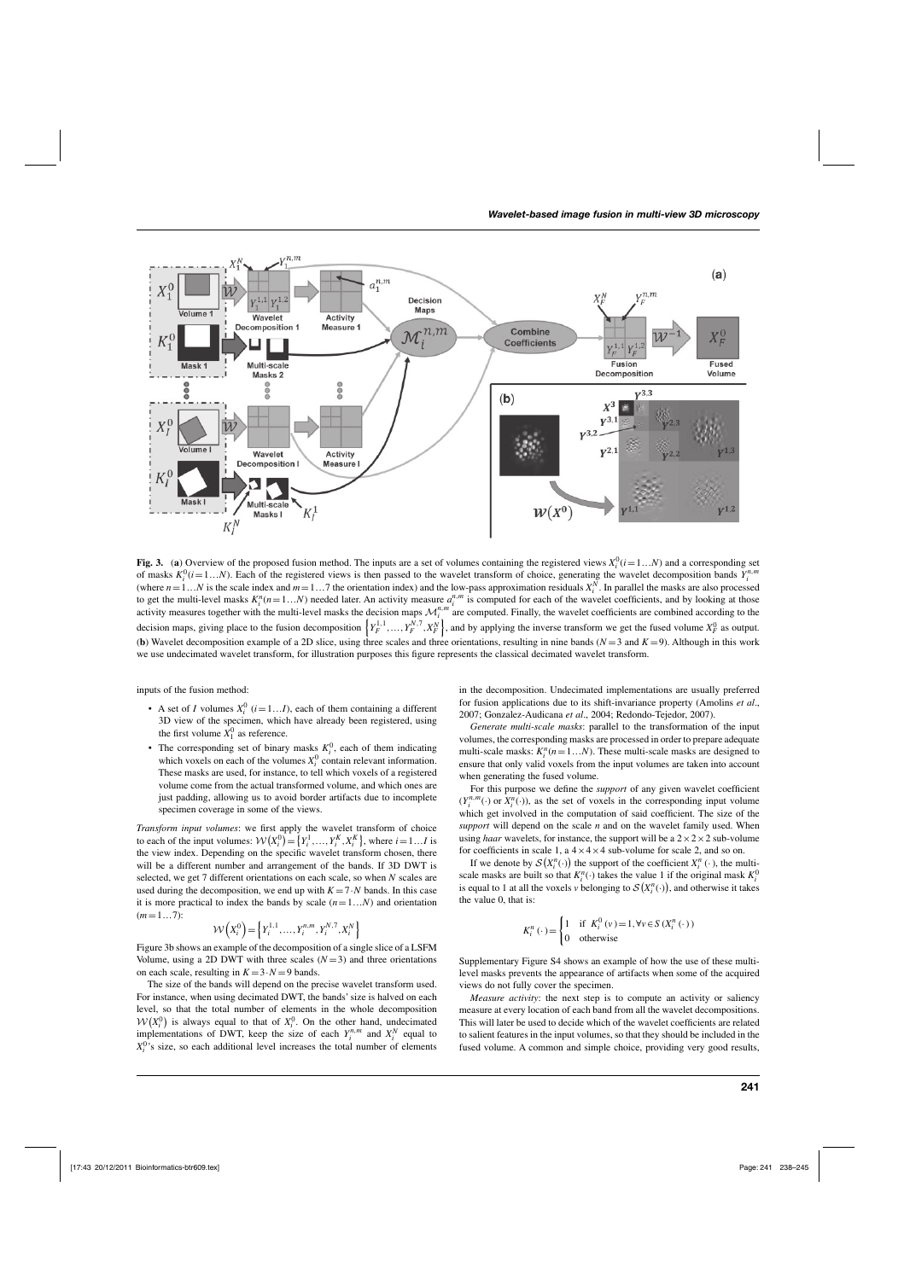

**Fig. 3.** (a) Overview of the proposed fusion method. The inputs are a set of volumes containing the registered views  $X_i^0$  ( $i=1...N$ ) and a corresponding set of masks  $K_i^0(i=1...N)$ . Each of the registered views is then passed to the wavelet transform of choice, generating the wavelet decomposition bands  $Y_i^{n,m}$ (where  $n=1...N$  is the scale index and  $m=1...7$  the orientation index) and the low-pass approximation residuals  $X_i^N$ . In parallel the masks are also processed to get the multi-level masks  $K_i^n(n=1...N)$  needed later. An activity measure  $a_i^{n,m}$  is computed for each of the wavelet coefficients, and by looking at those activity measures together with the multi-level masks the decision maps  $\mathcal{M}_i^{n,m}$  are computed. Finally, the wavelet coefficients are combined according to the decision maps, giving place to the fusion decomposition  $\left\{Y_F^{1,1},...,Y_F^{N,7},X_F^N\right\}$ , and by applying the inverse transform we get the fused volume  $X_F^0$  as output. (**b**) Wavelet decomposition example of a 2D slice, using three scales and three orientations, resulting in nine bands ( $N = 3$  and  $K = 9$ ). Although in this work we use undecimated wavelet transform, for illustration purposes this figure represents the classical decimated wavelet transform.

inputs of the fusion method:

- A set of *I* volumes  $X_i^0$  ( $i = 1...I$ ), each of them containing a different 3D view of the specimen, which have already been registered, using the first volume  $X_1^0$  as reference.
- The corresponding set of binary masks  $K_i^0$ , each of them indicating which voxels on each of the volumes  $X_i^0$  contain relevant information. These masks are used, for instance, to tell which voxels of a registered volume come from the actual transformed volume, and which ones are just padding, allowing us to avoid border artifacts due to incomplete specimen coverage in some of the views.

*Transform input volumes*: we first apply the wavelet transform of choice to each of the input volumes:  $W(X_i^0) = \{Y_i^1, \ldots, Y_i^K, X_i^K\}$ , where  $i = 1...I$  is the view index. Depending on the specific wavelet transform chosen, there will be a different number and arrangement of the bands. If 3D DWT is selected, we get 7 different orientations on each scale, so when *N* scales are used during the decomposition, we end up with  $K = 7 \cdot N$  bands. In this case it is more practical to index the bands by scale  $(n=1...N)$  and orientation  $(m=1...7)$ :

$$
\mathcal{W}\left(X_i^0\right) = \left\{Y_i^{1,1}, \dots, Y_i^{n,m}, Y_i^{N,7}, X_i^N\right\}
$$

Figure 3b shows an example of the decomposition of a single slice of a LSFM Volume, using a 2D DWT with three scales  $(N=3)$  and three orientations on each scale, resulting in  $K = 3 \cdot N = 9$  bands.

The size of the bands will depend on the precise wavelet transform used. For instance, when using decimated DWT, the bands' size is halved on each level, so that the total number of elements in the whole decomposition  $W(X_i^0)$  is always equal to that of  $X_i^0$ . On the other hand, undecimated implementations of DWT, keep the size of each  $Y_i^{n,m}$  and  $X_i^N$  equal to  $X_i^0$ 's size, so each additional level increases the total number of elements

in the decomposition. Undecimated implementations are usually preferred for fusion applications due to its shift-invariance property (Amolins *et al*., 2007; Gonzalez-Audicana *et al*., 2004; Redondo-Tejedor, 2007).

*Generate multi-scale masks*: parallel to the transformation of the input volumes, the corresponding masks are processed in order to prepare adequate multi-scale masks:  $K_i^n$  ( $n = 1...N$ ). These multi-scale masks are designed to ensure that only valid voxels from the input volumes are taken into account when generating the fused volume.

For this purpose we define the *support* of any given wavelet coefficient  $(Y_i^{n,m}(\cdot)$  or  $X_i^n(\cdot)$ ), as the set of voxels in the corresponding input volume which get involved in the computation of said coefficient. The size of the *support* will depend on the scale *n* and on the wavelet family used. When using *haar* wavelets, for instance, the support will be a  $2 \times 2 \times 2$  sub-volume for coefficients in scale 1, a  $4 \times 4 \times 4$  sub-volume for scale 2, and so on.

If we denote by  $S(X_i^n(\cdot))$  the support of the coefficient  $X_i^n(\cdot)$ , the multiscale masks are built so that  $K_i^n(\cdot)$  takes the value 1 if the original mask  $K_i^0$ is equal to 1 at all the voxels *v* belonging to  $S(X_i^n(\cdot))$ , and otherwise it takes the value 0, that is:

$$
K_i^n(\cdot) = \begin{cases} 1 & \text{if } K_i^0(v) = 1, \forall v \in S \left( X_i^n(\cdot) \right) \\ 0 & \text{otherwise} \end{cases}
$$

Supplementary Figure S4 shows an example of how the use of these multilevel masks prevents the appearance of artifacts when some of the acquired views do not fully cover the specimen.

*Measure activity*: the next step is to compute an activity or saliency measure at every location of each band from all the wavelet decompositions. This will later be used to decide which of the wavelet coefficients are related to salient features in the input volumes, so that they should be included in the fused volume. A common and simple choice, providing very good results,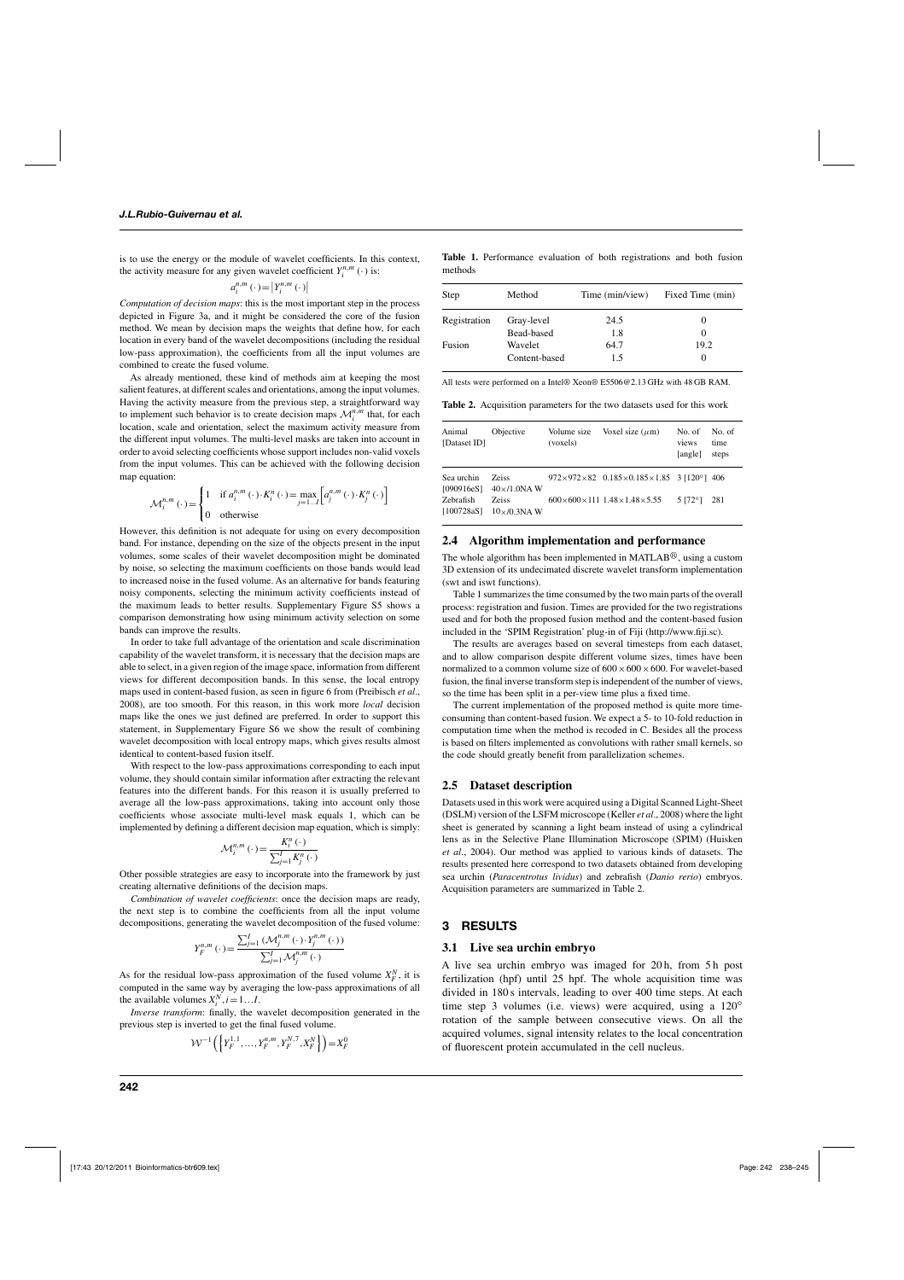is to use the energy or the module of wavelet coefficients. In this context, the activity measure for any given wavelet coefficient  $Y_i^{n,m}(\cdot)$  is:

$$
a_i^{n,m}\left(\cdot\right) = \left|Y_i^{n,m}\left(\cdot\right)\right|
$$

*Computation of decision maps*: this is the most important step in the process depicted in Figure 3a, and it might be considered the core of the fusion method. We mean by decision maps the weights that define how, for each location in every band of the wavelet decompositions (including the residual low-pass approximation), the coefficients from all the input volumes are combined to create the fused volume.

As already mentioned, these kind of methods aim at keeping the most salient features, at different scales and orientations, among the input volumes. Having the activity measure from the previous step, a straightforward way to implement such behavior is to create decision maps  $\mathcal{M}_i^{n,m}$  that, for each location, scale and orientation, select the maximum activity measure from the different input volumes. The multi-level masks are taken into account in order to avoid selecting coefficients whose support includes non-valid voxels from the input volumes. This can be achieved with the following decision map equation:

$$
\mathcal{M}_i^{n,m}(\cdot) = \begin{cases} 1 & \text{if } a_i^{n,m}(\cdot) \cdot K_i^n(\cdot) = \max_{j=1...J} \left[ a_j^{n,m}(\cdot) \cdot K_j^n(\cdot) \right] \\ 0 & \text{otherwise} \end{cases}
$$

However, this definition is not adequate for using on every decomposition band. For instance, depending on the size of the objects present in the input volumes, some scales of their wavelet decomposition might be dominated by noise, so selecting the maximum coefficients on those bands would lead to increased noise in the fused volume. As an alternative for bands featuring noisy components, selecting the minimum activity coefficients instead of the maximum leads to better results. Supplementary Figure S5 shows a comparison demonstrating how using minimum activity selection on some bands can improve the results.

In order to take full advantage of the orientation and scale discrimination capability of the wavelet transform, it is necessary that the decision maps are able to select, in a given region of the image space, information from different views for different decomposition bands. In this sense, the local entropy maps used in content-based fusion, as seen in figure 6 from (Preibisch *et al*., 2008), are too smooth. For this reason, in this work more *local* decision maps like the ones we just defined are preferred. In order to support this statement, in Supplementary Figure S6 we show the result of combining wavelet decomposition with local entropy maps, which gives results almost identical to content-based fusion itself.

With respect to the low-pass approximations corresponding to each input volume, they should contain similar information after extracting the relevant features into the different bands. For this reason it is usually preferred to average all the low-pass approximations, taking into account only those coefficients whose associate multi-level mask equals 1, which can be implemented by defining a different decision map equation, which is simply:

$$
\mathcal{M}_i^{n,m}\left(\cdot\right) = \frac{K_i^n\left(\cdot\right)}{\sum_{j=1}^I K_j^n\left(\cdot\right)}
$$

Other possible strategies are easy to incorporate into the framework by just creating alternative definitions of the decision maps.

*Combination of wavelet coefficients*: once the decision maps are ready, the next step is to combine the coefficients from all the input volume decompositions, generating the wavelet decomposition of the fused volume:

$$
Y_{F}^{n,m}\left(\cdot\right) = \frac{\sum_{j=1}^{I}\left(\mathcal{M}_{j}^{n,m}\left(\cdot\right)\cdot Y_{j}^{n,m}\left(\cdot\right)\right)}{\sum_{j=1}^{I}\mathcal{M}_{j}^{n,m}\left(\cdot\right)}
$$

As for the residual low-pass approximation of the fused volume  $X_F^N$ , it is computed in the same way by averaging the low-pass approximations of all the available volumes  $X_i^N$ ,  $i = 1...I$ .

*Inverse transform*: finally, the wavelet decomposition generated in the previous step is inverted to get the final fused volume.

$$
\mathcal{W}^{-1}\left(\left\{Y_F^{1,1},\ldots,Y_F^{n,m},Y_F^{N,7},X_F^N\right\}\right)=X_F^0
$$

**Table 1.** Performance evaluation of both registrations and both fusion methods

| Step         | Method        | Time (min/view) | Fixed Time (min) |
|--------------|---------------|-----------------|------------------|
| Registration | Gray-level    | 24.5            |                  |
|              | Bead-based    | 1.8             |                  |
| Fusion       | Wavelet       | 64.7            | 19.2             |
|              | Content-based | 1.5             |                  |

All tests were performed on a Intel® Xeon® E5506@2.13 GHz with 48 GB RAM.

**Table 2.** Acquisition parameters for the two datasets used for this work

| Animal<br>[Dataset ID]         | Objective                           | Volume size<br>(voxels) | Voxel size $(\mu m)$                                                       | No. of<br>views<br>[angle] | No. of<br>time<br>steps |
|--------------------------------|-------------------------------------|-------------------------|----------------------------------------------------------------------------|----------------------------|-------------------------|
| Sea urchin<br>[090916eS]       | <b>Zeiss</b><br>$40\times10$ .0NAW  |                         | $972 \times 972 \times 82$ 0.185 $\times$ 0.185 $\times$ 1.85 3 [120°] 406 |                            |                         |
| <b>Zebrafish</b><br>[100728aS] | <b>Zeiss</b><br>$10\times 70.3$ NAW |                         | $600\times600\times111$ 1.48 $\times$ 1.48 $\times$ 5.55                   | $5172^{\circ}$ ]           | 281                     |

#### **2.4 Algorithm implementation and performance**

The whole algorithm has been implemented in MATLAB $\mathbb{B}$ , using a custom 3D extension of its undecimated discrete wavelet transform implementation (swt and iswt functions).

Table 1 summarizes the time consumed by the two main parts of the overall process: registration and fusion. Times are provided for the two registrations used and for both the proposed fusion method and the content-based fusion included in the 'SPIM Registration' plug-in of Fiji (http://www.fiji.sc).

The results are averages based on several timesteps from each dataset, and to allow comparison despite different volume sizes, times have been normalized to a common volume size of  $600 \times 600 \times 600$ . For wavelet-based fusion, the final inverse transform step is independent of the number of views, so the time has been split in a per-view time plus a fixed time.

The current implementation of the proposed method is quite more timeconsuming than content-based fusion. We expect a 5- to 10-fold reduction in computation time when the method is recoded in C. Besides all the process is based on filters implemented as convolutions with rather small kernels, so the code should greatly benefit from parallelization schemes.

#### **2.5 Dataset description**

Datasets used in this work were acquired using a Digital Scanned Light-Sheet (DSLM) version of the LSFM microscope (Keller *et al*., 2008) where the light sheet is generated by scanning a light beam instead of using a cylindrical lens as in the Selective Plane Illumination Microscope (SPIM) (Huisken *et al*., 2004). Our method was applied to various kinds of datasets. The results presented here correspond to two datasets obtained from developing sea urchin (*Paracentrotus lividus*) and zebrafish (*Danio rerio*) embryos. Acquisition parameters are summarized in Table 2.

#### **3 RESULTS**

#### **3.1 Live sea urchin embryo**

A live sea urchin embryo was imaged for 20 h, from 5 h post fertilization (hpf) until 25 hpf. The whole acquisition time was divided in 180 s intervals, leading to over 400 time steps. At each time step 3 volumes (i.e. views) were acquired, using a 120<sup>°</sup> rotation of the sample between consecutive views. On all the acquired volumes, signal intensity relates to the local concentration of fluorescent protein accumulated in the cell nucleus.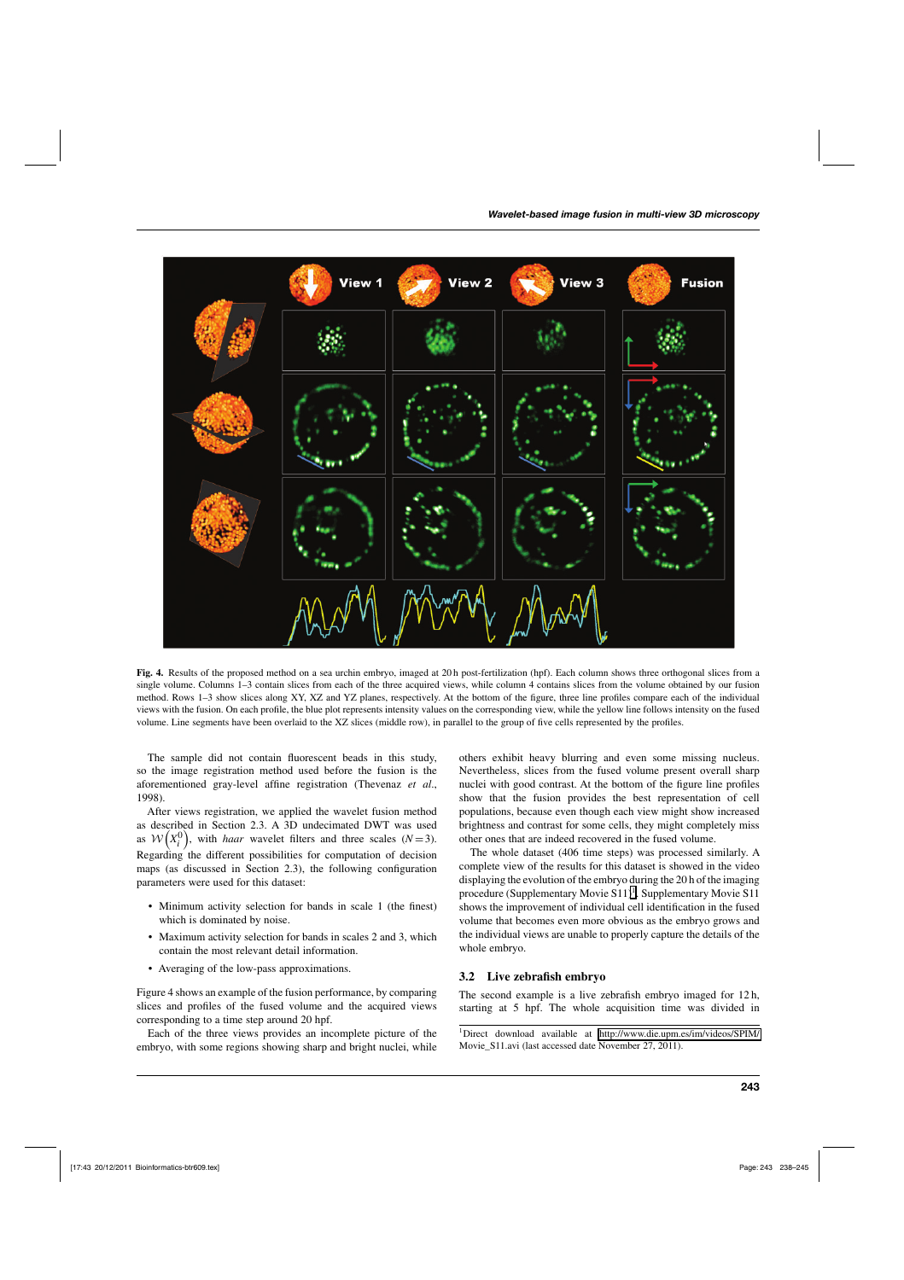

**Fig. 4.** Results of the proposed method on a sea urchin embryo, imaged at 20 h post-fertilization (hpf). Each column shows three orthogonal slices from a single volume. Columns 1–3 contain slices from each of the three acquired views, while column 4 contains slices from the volume obtained by our fusion method. Rows 1–3 show slices along XY, XZ and YZ planes, respectively. At the bottom of the figure, three line profiles compare each of the individual views with the fusion. On each profile, the blue plot represents intensity values on the corresponding view, while the yellow line follows intensity on the fused volume. Line segments have been overlaid to the XZ slices (middle row), in parallel to the group of five cells represented by the profiles.

The sample did not contain fluorescent beads in this study, so the image registration method used before the fusion is the aforementioned gray-level affine registration (Thevenaz *et al*., 1998).

After views registration, we applied the wavelet fusion method as described in Section 2.3. A 3D undecimated DWT was used as  $W(X_i^0)$ , with *haar* wavelet filters and three scales (*N* = 3). Regarding the different possibilities for computation of decision maps (as discussed in Section 2.3), the following configuration parameters were used for this dataset:

- Minimum activity selection for bands in scale 1 (the finest) which is dominated by noise.
- Maximum activity selection for bands in scales 2 and 3, which contain the most relevant detail information.
- Averaging of the low-pass approximations.

Figure 4 shows an example of the fusion performance, by comparing slices and profiles of the fused volume and the acquired views corresponding to a time step around 20 hpf.

Each of the three views provides an incomplete picture of the embryo, with some regions showing sharp and bright nuclei, while

others exhibit heavy blurring and even some missing nucleus. Nevertheless, slices from the fused volume present overall sharp nuclei with good contrast. At the bottom of the figure line profiles show that the fusion provides the best representation of cell populations, because even though each view might show increased brightness and contrast for some cells, they might completely miss other ones that are indeed recovered in the fused volume.

The whole dataset (406 time steps) was processed similarly. A complete view of the results for this dataset is showed in the video displaying the evolution of the embryo during the 20 h of the imaging procedure (Supplementary Movie  $S11$ )<sup>1</sup>. Supplementary Movie S11 shows the improvement of individual cell identification in the fused volume that becomes even more obvious as the embryo grows and the individual views are unable to properly capture the details of the whole embryo.

#### **3.2 Live zebrafish embryo**

The second example is a live zebrafish embryo imaged for 12 h, starting at 5 hpf. The whole acquisition time was divided in

1Direct download available at [http://www.die.upm.es/im/videos/SPIM/](http://www.die.upm.es/im/videos/SPIM/Movie_S11.avi) Movie\_S11.avi (last accessed date November 27, 2011).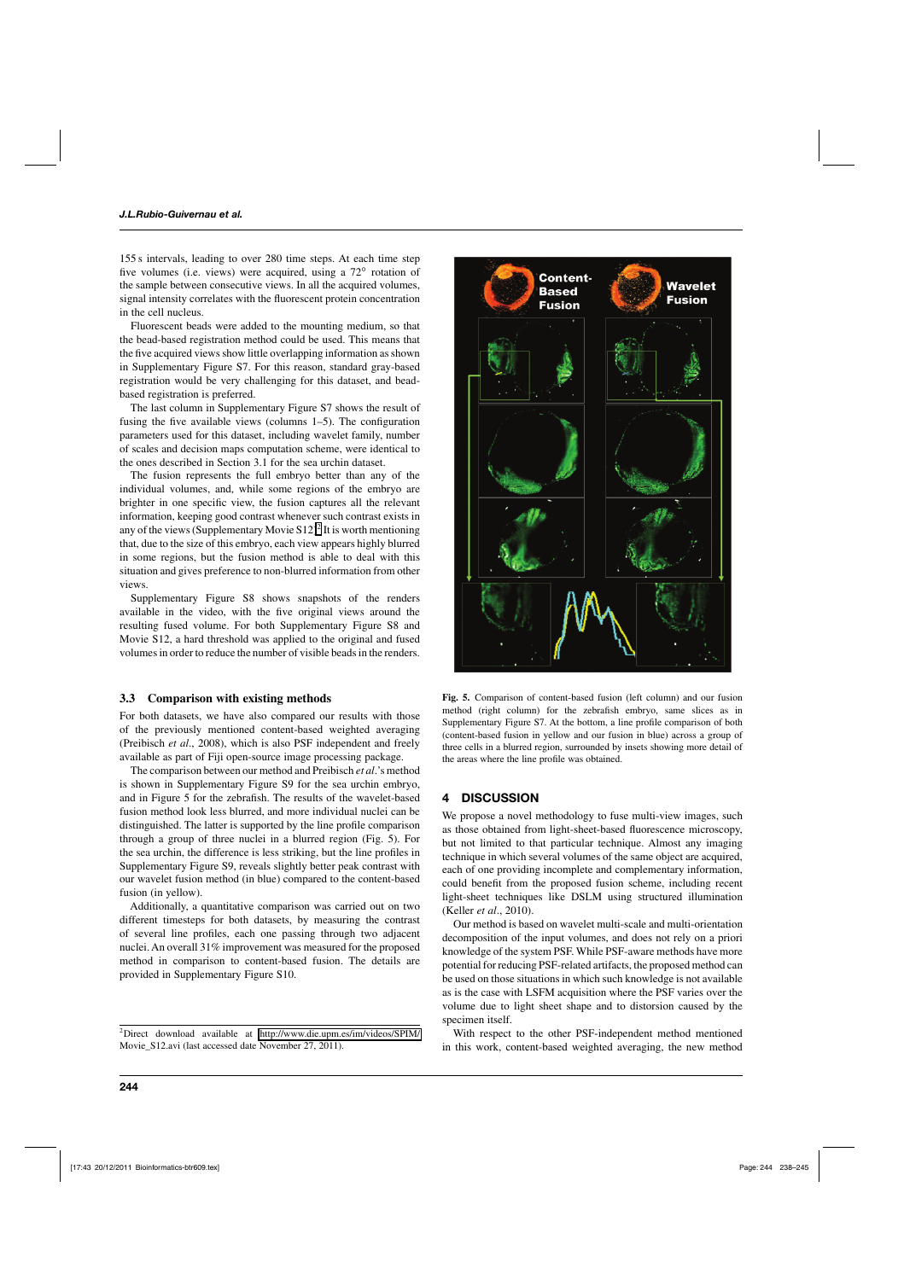155 s intervals, leading to over 280 time steps. At each time step five volumes (i.e. views) were acquired, using a 72° rotation of the sample between consecutive views. In all the acquired volumes, signal intensity correlates with the fluorescent protein concentration in the cell nucleus.

Fluorescent beads were added to the mounting medium, so that the bead-based registration method could be used. This means that the five acquired views show little overlapping information as shown in Supplementary Figure S7. For this reason, standard gray-based registration would be very challenging for this dataset, and beadbased registration is preferred.

The last column in Supplementary Figure S7 shows the result of fusing the five available views (columns 1–5). The configuration parameters used for this dataset, including wavelet family, number of scales and decision maps computation scheme, were identical to the ones described in Section 3.1 for the sea urchin dataset.

The fusion represents the full embryo better than any of the individual volumes, and, while some regions of the embryo are brighter in one specific view, the fusion captures all the relevant information, keeping good contrast whenever such contrast exists in any of the views (Supplementary Movie  $S12$ )<sup>2</sup> It is worth mentioning that, due to the size of this embryo, each view appears highly blurred in some regions, but the fusion method is able to deal with this situation and gives preference to non-blurred information from other views.

Supplementary Figure S8 shows snapshots of the renders available in the video, with the five original views around the resulting fused volume. For both Supplementary Figure S8 and Movie S12, a hard threshold was applied to the original and fused volumes in order to reduce the number of visible beads in the renders.

#### **3.3 Comparison with existing methods**

For both datasets, we have also compared our results with those of the previously mentioned content-based weighted averaging (Preibisch *et al*., 2008), which is also PSF independent and freely available as part of Fiji open-source image processing package.

The comparison between our method and Preibisch *et al*.'s method is shown in Supplementary Figure S9 for the sea urchin embryo, and in Figure 5 for the zebrafish. The results of the wavelet-based fusion method look less blurred, and more individual nuclei can be distinguished. The latter is supported by the line profile comparison through a group of three nuclei in a blurred region (Fig. 5). For the sea urchin, the difference is less striking, but the line profiles in Supplementary Figure S9, reveals slightly better peak contrast with our wavelet fusion method (in blue) compared to the content-based fusion (in yellow).

Additionally, a quantitative comparison was carried out on two different timesteps for both datasets, by measuring the contrast of several line profiles, each one passing through two adjacent nuclei. An overall 31% improvement was measured for the proposed method in comparison to content-based fusion. The details are provided in Supplementary Figure S10.



**Fig. 5.** Comparison of content-based fusion (left column) and our fusion method (right column) for the zebrafish embryo, same slices as in Supplementary Figure S7. At the bottom, a line profile comparison of both (content-based fusion in yellow and our fusion in blue) across a group of three cells in a blurred region, surrounded by insets showing more detail of the areas where the line profile was obtained.

# **4 DISCUSSION**

We propose a novel methodology to fuse multi-view images, such as those obtained from light-sheet-based fluorescence microscopy, but not limited to that particular technique. Almost any imaging technique in which several volumes of the same object are acquired, each of one providing incomplete and complementary information, could benefit from the proposed fusion scheme, including recent light-sheet techniques like DSLM using structured illumination (Keller *et al*., 2010).

Our method is based on wavelet multi-scale and multi-orientation decomposition of the input volumes, and does not rely on a priori knowledge of the system PSF. While PSF-aware methods have more potential for reducing PSF-related artifacts, the proposed method can be used on those situations in which such knowledge is not available as is the case with LSFM acquisition where the PSF varies over the volume due to light sheet shape and to distorsion caused by the specimen itself.

With respect to the other PSF-independent method mentioned in this work, content-based weighted averaging, the new method

<sup>2</sup>Direct download available at [http://www.die.upm.es/im/videos/SPIM/](http://www.die.upm.es/im/videos/SPIM/Movie_S12.avi) Movie\_S12.avi (last accessed date November 27, 2011).